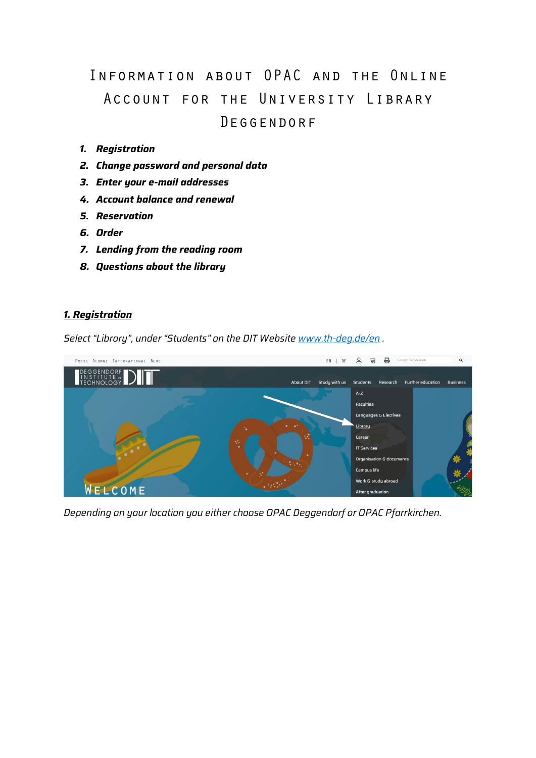# Information about OPAC and the Online Account for the University Library Deggendorf

- *1. Registration*
- *2. Change password and personal data*
- *3. Enter your e-mail addresses*
- *4. Account balance and renewal*
- *5. Reservation*
- *6. Order*
- *7. Lending from the reading room*
- *8. Questions about the library*

#### *1. Registration*

*Select "Library", under "Students" on the DIT Website [www.th-deg.de/en](http://www.th-deg.de/en) .*



*Depending on your location you either choose OPAC Deggendorf or OPAC Pfarrkirchen.*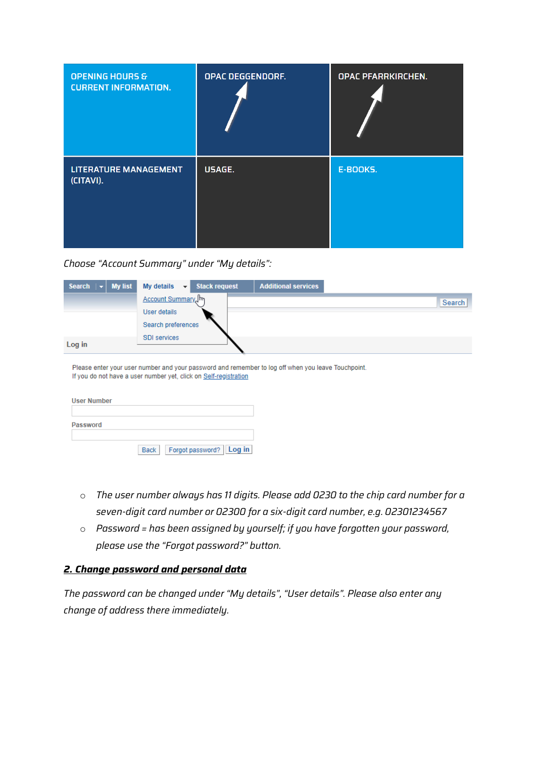| <b>OPENING HOURS &amp;</b><br><b>CURRENT INFORMATION.</b> | OPAC DEGGENDORF. | <b>OPAC PFARRKIRCHEN.</b> |
|-----------------------------------------------------------|------------------|---------------------------|
| <b>LITERATURE MANAGEMENT</b><br>(CITAVI).                 | USAGE.           | <b>E-BOOKS.</b>           |

*Choose "Account Summary" under "My details":*

| Search $\vert \mathbf{v} \vert$<br><b>My list</b> | My details $\rightarrow$ Stack request | <b>Additional services</b>                                                                         |  |
|---------------------------------------------------|----------------------------------------|----------------------------------------------------------------------------------------------------|--|
|                                                   | Account Summary Im                     | Search                                                                                             |  |
|                                                   | User details                           |                                                                                                    |  |
|                                                   | Search preferences                     |                                                                                                    |  |
| Log in                                            | <b>SDI</b> services                    |                                                                                                    |  |
|                                                   |                                        | Please enter your user number and your password and remember to log off when you leave Touchpoint. |  |

| If you do not have a user number yet, click on Self-registration |  |
|------------------------------------------------------------------|--|
|                                                                  |  |

| <b>User Number</b> |                                 |
|--------------------|---------------------------------|
|                    |                                 |
| Password           |                                 |
|                    | Forgot password? Log in<br>Back |

- o *The user number always has 11 digits. Please add 0230 to the chip card number for a seven-digit card number or 02300 for a six-digit card number, e.g. 02301234567*
- o *Password = has been assigned by yourself; if you have forgotten your password, please use the "Forgot password?" button.*

## *2. Change password and personal data*

*The password can be changed under "My details", "User details". Please also enter any change of address there immediately.*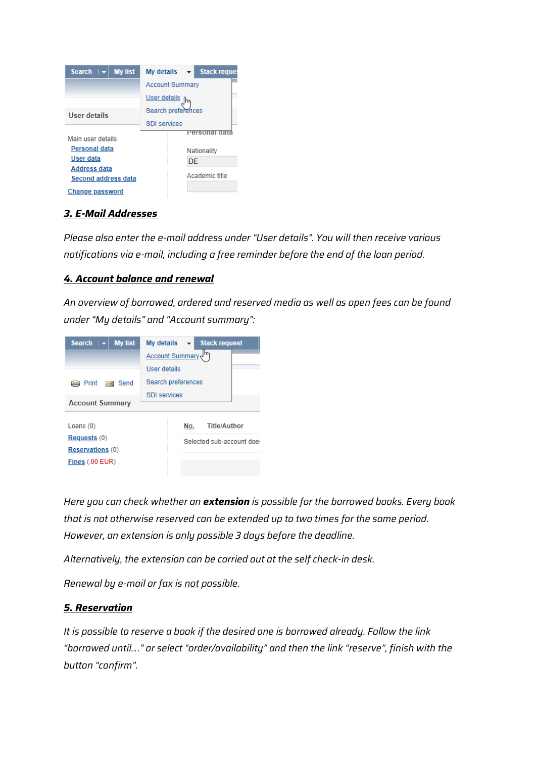| <b>My list</b><br>Search $\mathbf{v}$      | $\overline{\phantom{a}}$ Stack reques<br>My details |  |
|--------------------------------------------|-----------------------------------------------------|--|
|                                            | <b>Account Summary</b>                              |  |
|                                            | User details                                        |  |
| User details                               | Search preferences                                  |  |
|                                            | SDI services                                        |  |
| Main user details                          | Personal                                            |  |
| Personal data                              | Nationality                                         |  |
| User data                                  | DE                                                  |  |
| <b>Address data</b><br>Second address data | Academic fifle                                      |  |
| Change password                            |                                                     |  |

## *3. E-Mail Addresses*

*Please also enter the e-mail address under "User details". You will then receive various notifications via e-mail, including a free reminder before the end of the loan period.*

## *4. Account balance and renewal*

*An overview of borrowed, ordered and reserved media as well as open fees can be found under "My details" and "Account summary":*

| Search $\overline{\mathbf{v}}$ My list |  | My details          | Stack request             |
|----------------------------------------|--|---------------------|---------------------------|
|                                        |  | Account Summary (m  |                           |
|                                        |  | User details        |                           |
| Print ⊳⊲ Send                          |  | Search preferences  |                           |
| <b>Account Summary</b>                 |  | <b>SDI</b> services |                           |
|                                        |  |                     |                           |
| Loans $(0)$                            |  | Nο.                 | <b>Title/Author</b>       |
| Requests(0)                            |  |                     | Selected sub-account does |
| <b>Reservations (0)</b>                |  |                     |                           |
| Fines (.00 EUR)                        |  |                     |                           |
|                                        |  |                     |                           |

*Here you can check whether an extension is possible for the borrowed books. Every book that is not otherwise reserved can be extended up to two times for the same period. However, an extension is only possible 3 days before the deadline.* 

*Alternatively, the extension can be carried out at the self check-in desk.* 

*Renewal by e-mail or fax is not possible.*

## *5. Reservation*

*It is possible to reserve a book if the desired one is borrowed already. Follow the link "borrowed until…." or select "order/availability" and then the link "reserve", finish with the button "confirm".*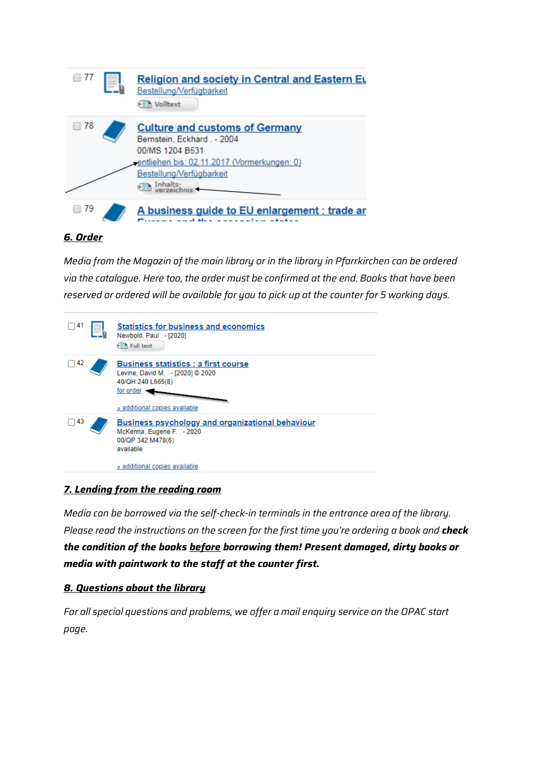

## *6. Order*

*Media from the Magazin of the main library or in the library in Pfarrkirchen can be ordered via the catalogue. Here too, the order must be confirmed at the end. Books that have been reserved or ordered will be available for you to pick up at the counter for 5 working days.*



## *7. Lending from the reading room*

*Media can be borrowed via the self-check-in terminals in the entrance area of the library. Please read the instructions on the screen for the first time you're ordering a book and check the condition of the books before borrowing them! Present damaged, dirty books or media with paintwork to the staff at the counter first.*

## *8. Questions about the library*

*For all special questions and problems, we offer a mail enquiry service on the OPAC start page.*